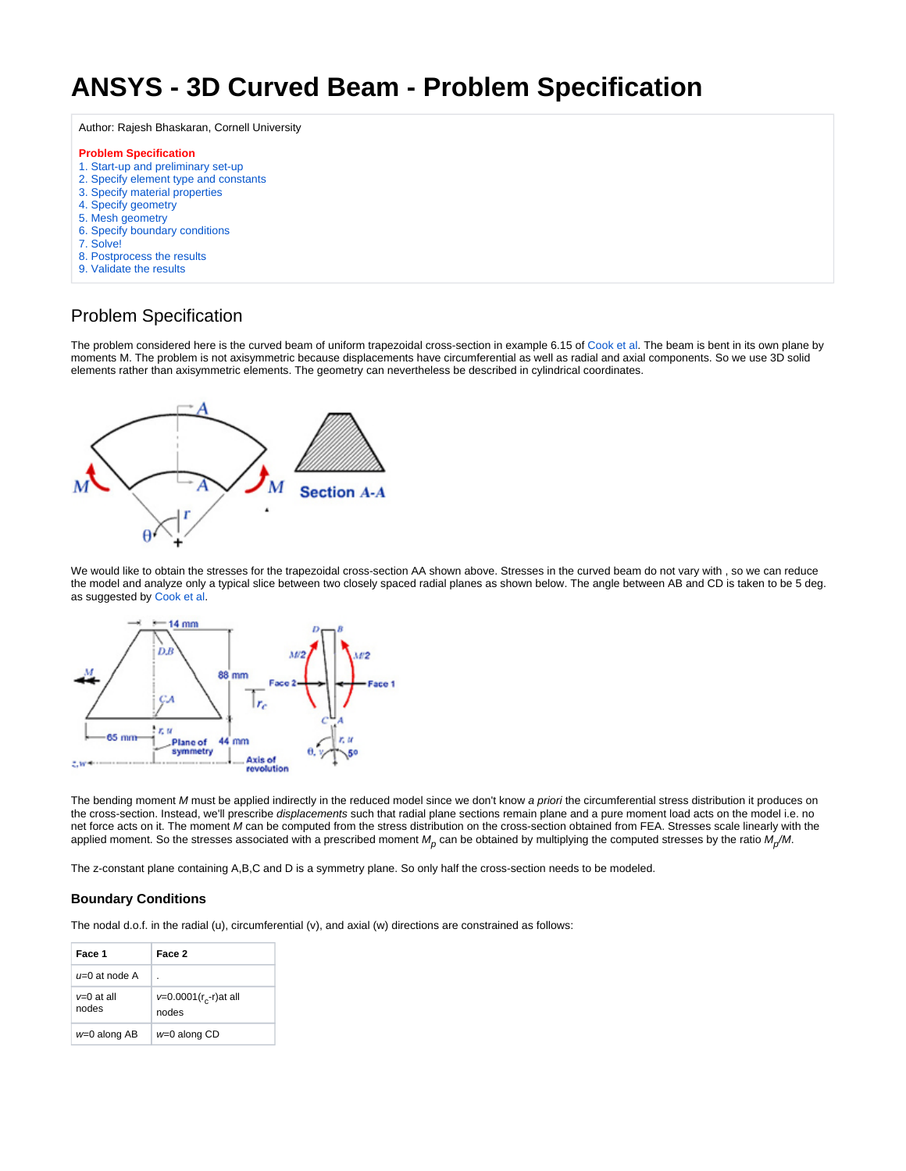## **ANSYS - 3D Curved Beam - Problem Specification**

Author: Rajesh Bhaskaran, Cornell University

## **Problem Specification**

- [1. Start-up and preliminary set-up](https://confluence.cornell.edu/display/SIMULATION/ANSYS+-+3D+Curved+Beam+step+1)
- [2. Specify element type and constants](https://confluence.cornell.edu/display/SIMULATION/ANSYS+-+3D+Curved+Beam+step+2)
- [3. Specify material properties](https://confluence.cornell.edu/display/SIMULATION/ANSYS+-+3D+Curved+Beam+step+3)
- [4. Specify geometry](https://confluence.cornell.edu/display/SIMULATION/ANSYS+-+3D+Curved+Beam+step+4)
- [5. Mesh geometry](https://confluence.cornell.edu/display/SIMULATION/ANSYS+-+3D+Curved+Beam+step+5)
- [6. Specify boundary conditions](https://confluence.cornell.edu/display/SIMULATION/ANSYS+-+3D+Curved+Beam+step+6)
- [7. Solve!](https://confluence.cornell.edu/display/SIMULATION/ANSYS+-+3D+Curved+Beam+step+7)
- [8. Postprocess the results](https://confluence.cornell.edu/display/SIMULATION/ANSYS+-+3D+Curved+Beam+step+8)
- [9. Validate the results](https://confluence.cornell.edu/display/SIMULATION/ANSYS+-+3D+Curved+Beam+step+9)
- 

## Problem Specification

The problem considered here is the curved beam of uniform trapezoidal cross-section in example 6.15 of [Cook et al](https://confluence.cornell.edu/display/SIMULATION/ANSYS+-+3D+Curved+Beam+step+9#ANSYS3DCurvedBeamstep9-ref). The beam is bent in its own plane by moments M. The problem is not axisymmetric because displacements have circumferential as well as radial and axial components. So we use 3D solid elements rather than axisymmetric elements. The geometry can nevertheless be described in cylindrical coordinates.



We would like to obtain the stresses for the trapezoidal cross-section AA shown above. Stresses in the curved beam do not vary with , so we can reduce the model and analyze only a typical slice between two closely spaced radial planes as shown below. The angle between AB and CD is taken to be 5 deg. as suggested by [Cook et al](https://confluence.cornell.edu/display/SIMULATION/ANSYS+-+3D+Curved+Beam+step+9#ANSYS3DCurvedBeamstep9-ref).



The bending moment M must be applied indirectly in the reduced model since we don't know a priori the circumferential stress distribution it produces on the cross-section. Instead, we'll prescribe displacements such that radial plane sections remain plane and a pure moment load acts on the model i.e. no net force acts on it. The moment M can be computed from the stress distribution on the cross-section obtained from FEA. Stresses scale linearly with the applied moment. So the stresses associated with a prescribed moment  $M_\rho$  can be obtained by multiplying the computed stresses by the ratio  $M_\rho$ /M.

The z-constant plane containing A,B,C and D is a symmetry plane. So only half the cross-section needs to be modeled.

## **Boundary Conditions**

The nodal d.o.f. in the radial (u), circumferential (v), and axial (w) directions are constrained as follows:

| Face 1              | Face 2                                |
|---------------------|---------------------------------------|
| $U=0$ at node A     | ٠                                     |
| v=0 at all<br>nodes | $v=0.0001(r_{c} - r)$ at all<br>nodes |
| $w=0$ along AB      | $w=0$ along CD                        |